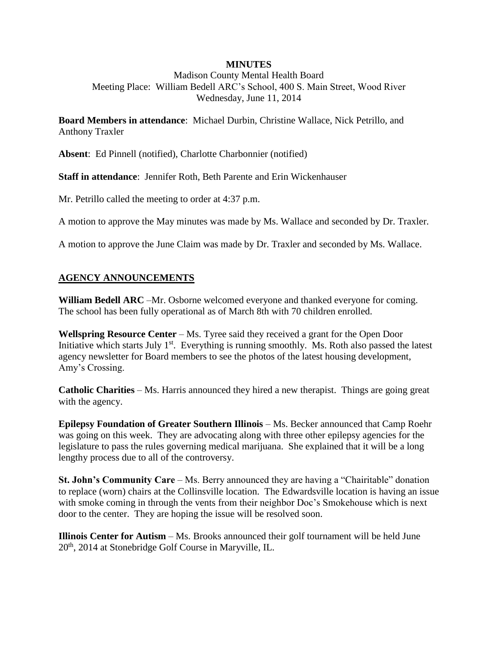## **MINUTES**

Madison County Mental Health Board Meeting Place: William Bedell ARC's School, 400 S. Main Street, Wood River Wednesday, June 11, 2014

**Board Members in attendance**: Michael Durbin, Christine Wallace, Nick Petrillo, and Anthony Traxler

**Absent**: Ed Pinnell (notified), Charlotte Charbonnier (notified)

**Staff in attendance**: Jennifer Roth, Beth Parente and Erin Wickenhauser

Mr. Petrillo called the meeting to order at 4:37 p.m.

A motion to approve the May minutes was made by Ms. Wallace and seconded by Dr. Traxler.

A motion to approve the June Claim was made by Dr. Traxler and seconded by Ms. Wallace.

## **AGENCY ANNOUNCEMENTS**

**William Bedell ARC** –Mr. Osborne welcomed everyone and thanked everyone for coming. The school has been fully operational as of March 8th with 70 children enrolled.

**Wellspring Resource Center** – Ms. Tyree said they received a grant for the Open Door Initiative which starts July 1<sup>st</sup>. Everything is running smoothly. Ms. Roth also passed the latest agency newsletter for Board members to see the photos of the latest housing development, Amy's Crossing.

**Catholic Charities** – Ms. Harris announced they hired a new therapist. Things are going great with the agency.

**Epilepsy Foundation of Greater Southern Illinois** – Ms. Becker announced that Camp Roehr was going on this week. They are advocating along with three other epilepsy agencies for the legislature to pass the rules governing medical marijuana. She explained that it will be a long lengthy process due to all of the controversy.

**St. John's Community Care** – Ms. Berry announced they are having a "Chairitable" donation to replace (worn) chairs at the Collinsville location. The Edwardsville location is having an issue with smoke coming in through the vents from their neighbor Doc's Smokehouse which is next door to the center. They are hoping the issue will be resolved soon.

**Illinois Center for Autism** – Ms. Brooks announced their golf tournament will be held June 20th, 2014 at Stonebridge Golf Course in Maryville, IL.